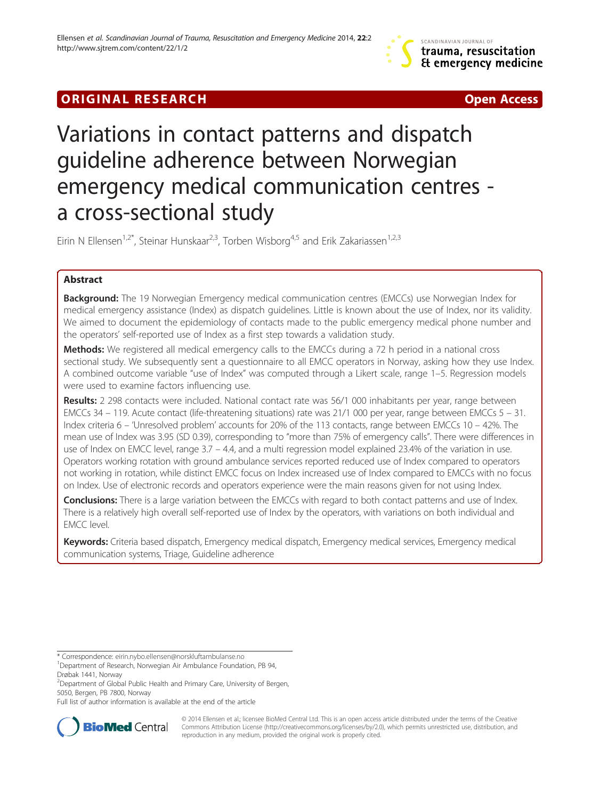# **ORIGINAL RESEARCH CONFIDENTIAL CONSUMING A LIGHT CONFIDENTIAL CONSUMING A LIGHT CONFIDENTIAL CONFIDENTIAL CONSU**



# Variations in contact patterns and dispatch guideline adherence between Norwegian emergency medical communication centres a cross-sectional study

Eirin N Ellensen<sup>1,2\*</sup>, Steinar Hunskaar<sup>2,3</sup>, Torben Wisborg<sup>4,5</sup> and Erik Zakariassen<sup>1,2,3</sup>

# Abstract

**Background:** The 19 Norwegian Emergency medical communication centres (EMCCs) use Norwegian Index for medical emergency assistance (Index) as dispatch guidelines. Little is known about the use of Index, nor its validity. We aimed to document the epidemiology of contacts made to the public emergency medical phone number and the operators' self-reported use of Index as a first step towards a validation study.

**Methods:** We registered all medical emergency calls to the EMCCs during a 72 h period in a national cross sectional study. We subsequently sent a questionnaire to all EMCC operators in Norway, asking how they use Index. A combined outcome variable "use of Index" was computed through a Likert scale, range 1–5. Regression models were used to examine factors influencing use.

Results: 2 298 contacts were included. National contact rate was 56/1 000 inhabitants per year, range between EMCCs 34 – 119. Acute contact (life-threatening situations) rate was 21/1 000 per year, range between EMCCs 5 – 31. Index criteria 6 – 'Unresolved problem' accounts for 20% of the 113 contacts, range between EMCCs 10 – 42%. The mean use of Index was 3.95 (SD 0.39), corresponding to "more than 75% of emergency calls". There were differences in use of Index on EMCC level, range 3.7 – 4.4, and a multi regression model explained 23.4% of the variation in use. Operators working rotation with ground ambulance services reported reduced use of Index compared to operators not working in rotation, while distinct EMCC focus on Index increased use of Index compared to EMCCs with no focus on Index. Use of electronic records and operators experience were the main reasons given for not using Index.

**Conclusions:** There is a large variation between the EMCCs with regard to both contact patterns and use of Index. There is a relatively high overall self-reported use of Index by the operators, with variations on both individual and EMCC level.

Keywords: Criteria based dispatch, Emergency medical dispatch, Emergency medical services, Emergency medical communication systems, Triage, Guideline adherence

\* Correspondence: [eirin.nybo.ellensen@norskluftambulanse.no](mailto:eirin.nybo.ellensen@norskluftambulanse.no) <sup>1</sup>

<sup>1</sup> Department of Research, Norwegian Air Ambulance Foundation, PB 94, Drøbak 1441, Norway

<sup>2</sup>Department of Global Public Health and Primary Care, University of Bergen, 5050, Bergen, PB 7800, Norway

Full list of author information is available at the end of the article



© 2014 Ellensen et al.; licensee BioMed Central Ltd. This is an open access article distributed under the terms of the Creative Commons Attribution License [\(http://creativecommons.org/licenses/by/2.0\)](http://creativecommons.org/licenses/by/2.0), which permits unrestricted use, distribution, and reproduction in any medium, provided the original work is properly cited.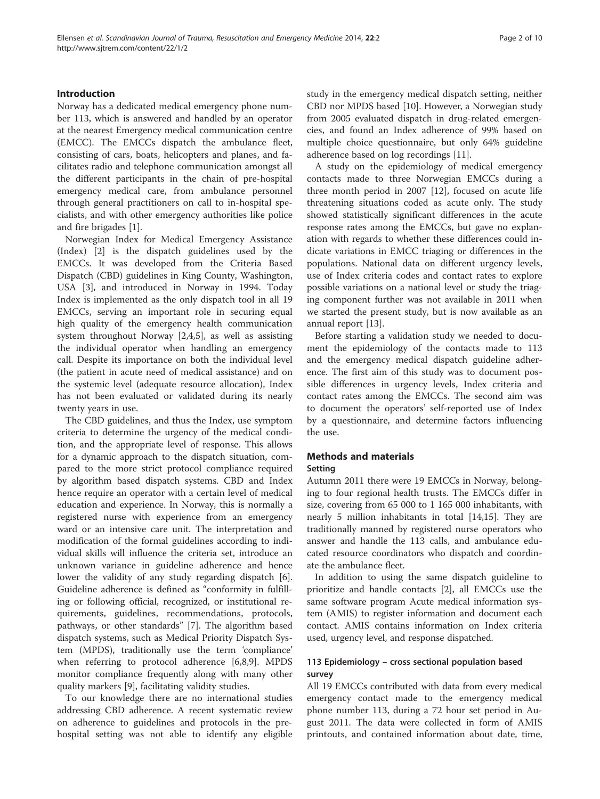# Introduction

Norway has a dedicated medical emergency phone number 113, which is answered and handled by an operator at the nearest Emergency medical communication centre (EMCC). The EMCCs dispatch the ambulance fleet, consisting of cars, boats, helicopters and planes, and facilitates radio and telephone communication amongst all the different participants in the chain of pre-hospital emergency medical care, from ambulance personnel through general practitioners on call to in-hospital specialists, and with other emergency authorities like police and fire brigades [\[1\]](#page-9-0).

Norwegian Index for Medical Emergency Assistance (Index) [[2](#page-9-0)] is the dispatch guidelines used by the EMCCs. It was developed from the Criteria Based Dispatch (CBD) guidelines in King County, Washington, USA [[3\]](#page-9-0), and introduced in Norway in 1994. Today Index is implemented as the only dispatch tool in all 19 EMCCs, serving an important role in securing equal high quality of the emergency health communication system throughout Norway [[2,4,5](#page-9-0)], as well as assisting the individual operator when handling an emergency call. Despite its importance on both the individual level (the patient in acute need of medical assistance) and on the systemic level (adequate resource allocation), Index has not been evaluated or validated during its nearly twenty years in use.

The CBD guidelines, and thus the Index, use symptom criteria to determine the urgency of the medical condition, and the appropriate level of response. This allows for a dynamic approach to the dispatch situation, compared to the more strict protocol compliance required by algorithm based dispatch systems. CBD and Index hence require an operator with a certain level of medical education and experience. In Norway, this is normally a registered nurse with experience from an emergency ward or an intensive care unit. The interpretation and modification of the formal guidelines according to individual skills will influence the criteria set, introduce an unknown variance in guideline adherence and hence lower the validity of any study regarding dispatch [\[6](#page-9-0)]. Guideline adherence is defined as "conformity in fulfilling or following official, recognized, or institutional requirements, guidelines, recommendations, protocols, pathways, or other standards" [\[7](#page-9-0)]. The algorithm based dispatch systems, such as Medical Priority Dispatch System (MPDS), traditionally use the term 'compliance' when referring to protocol adherence [\[6,8,9](#page-9-0)]. MPDS monitor compliance frequently along with many other quality markers [\[9](#page-9-0)], facilitating validity studies.

To our knowledge there are no international studies addressing CBD adherence. A recent systematic review on adherence to guidelines and protocols in the prehospital setting was not able to identify any eligible study in the emergency medical dispatch setting, neither CBD nor MPDS based [\[10\]](#page-9-0). However, a Norwegian study from 2005 evaluated dispatch in drug-related emergencies, and found an Index adherence of 99% based on multiple choice questionnaire, but only 64% guideline adherence based on log recordings [\[11](#page-9-0)].

A study on the epidemiology of medical emergency contacts made to three Norwegian EMCCs during a three month period in 2007 [[12\]](#page-9-0), focused on acute life threatening situations coded as acute only. The study showed statistically significant differences in the acute response rates among the EMCCs, but gave no explanation with regards to whether these differences could indicate variations in EMCC triaging or differences in the populations. National data on different urgency levels, use of Index criteria codes and contact rates to explore possible variations on a national level or study the triaging component further was not available in 2011 when we started the present study, but is now available as an annual report [[13](#page-9-0)].

Before starting a validation study we needed to document the epidemiology of the contacts made to 113 and the emergency medical dispatch guideline adherence. The first aim of this study was to document possible differences in urgency levels, Index criteria and contact rates among the EMCCs. The second aim was to document the operators' self-reported use of Index by a questionnaire, and determine factors influencing the use.

# Methods and materials

## Setting

Autumn 2011 there were 19 EMCCs in Norway, belonging to four regional health trusts. The EMCCs differ in size, covering from 65 000 to 1 165 000 inhabitants, with nearly 5 million inhabitants in total [\[14,15](#page-9-0)]. They are traditionally manned by registered nurse operators who answer and handle the 113 calls, and ambulance educated resource coordinators who dispatch and coordinate the ambulance fleet.

In addition to using the same dispatch guideline to prioritize and handle contacts [[2\]](#page-9-0), all EMCCs use the same software program Acute medical information system (AMIS) to register information and document each contact. AMIS contains information on Index criteria used, urgency level, and response dispatched.

# 113 Epidemiology – cross sectional population based survey

All 19 EMCCs contributed with data from every medical emergency contact made to the emergency medical phone number 113, during a 72 hour set period in August 2011. The data were collected in form of AMIS printouts, and contained information about date, time,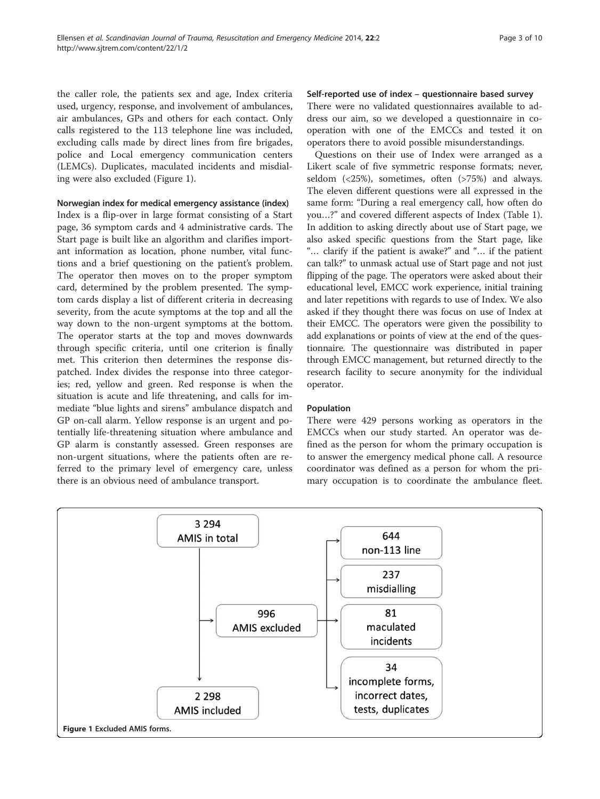the caller role, the patients sex and age, Index criteria used, urgency, response, and involvement of ambulances, air ambulances, GPs and others for each contact. Only calls registered to the 113 telephone line was included, excluding calls made by direct lines from fire brigades, police and Local emergency communication centers (LEMCs). Duplicates, maculated incidents and misdialing were also excluded (Figure 1).

Norwegian index for medical emergency assistance (index)

Index is a flip-over in large format consisting of a Start page, 36 symptom cards and 4 administrative cards. The Start page is built like an algorithm and clarifies important information as location, phone number, vital functions and a brief questioning on the patient's problem. The operator then moves on to the proper symptom card, determined by the problem presented. The symptom cards display a list of different criteria in decreasing severity, from the acute symptoms at the top and all the way down to the non-urgent symptoms at the bottom. The operator starts at the top and moves downwards through specific criteria, until one criterion is finally met. This criterion then determines the response dispatched. Index divides the response into three categories; red, yellow and green. Red response is when the situation is acute and life threatening, and calls for immediate "blue lights and sirens" ambulance dispatch and GP on-call alarm. Yellow response is an urgent and potentially life-threatening situation where ambulance and GP alarm is constantly assessed. Green responses are non-urgent situations, where the patients often are referred to the primary level of emergency care, unless there is an obvious need of ambulance transport.

Self-reported use of index – questionnaire based survey There were no validated questionnaires available to address our aim, so we developed a questionnaire in cooperation with one of the EMCCs and tested it on operators there to avoid possible misunderstandings.

Questions on their use of Index were arranged as a Likert scale of five symmetric response formats; never, seldom  $(< 25\%)$ , sometimes, often  $(> 75\%)$  and always. The eleven different questions were all expressed in the same form: "During a real emergency call, how often do you…?" and covered different aspects of Index (Table [1](#page-3-0)). In addition to asking directly about use of Start page, we also asked specific questions from the Start page, like "… clarify if the patient is awake?" and "… if the patient can talk?" to unmask actual use of Start page and not just flipping of the page. The operators were asked about their educational level, EMCC work experience, initial training and later repetitions with regards to use of Index. We also asked if they thought there was focus on use of Index at their EMCC. The operators were given the possibility to add explanations or points of view at the end of the questionnaire. The questionnaire was distributed in paper through EMCC management, but returned directly to the research facility to secure anonymity for the individual operator.

#### Population

There were 429 persons working as operators in the EMCCs when our study started. An operator was defined as the person for whom the primary occupation is to answer the emergency medical phone call. A resource coordinator was defined as a person for whom the primary occupation is to coordinate the ambulance fleet.

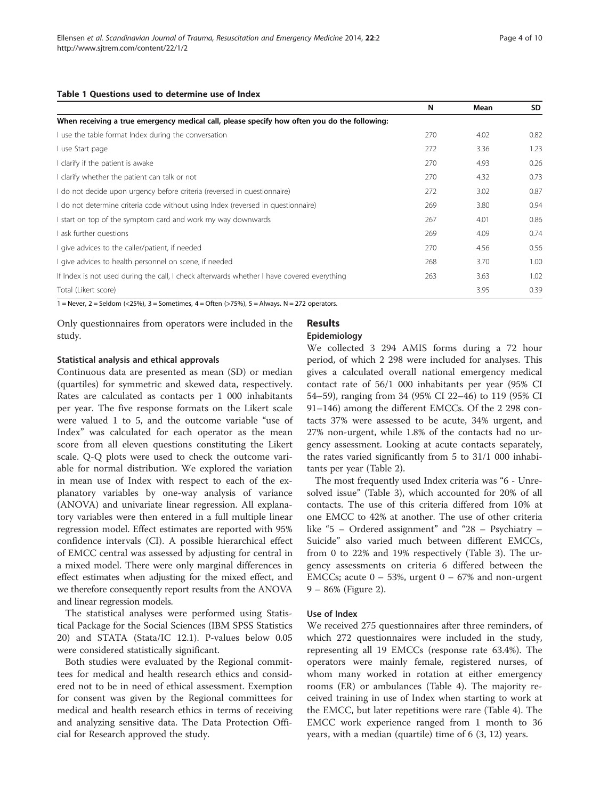#### <span id="page-3-0"></span>Table 1 Questions used to determine use of Index

|                                                                                              | N   | Mean | SD.  |
|----------------------------------------------------------------------------------------------|-----|------|------|
| When receiving a true emergency medical call, please specify how often you do the following: |     |      |      |
| I use the table format Index during the conversation                                         | 270 | 4.02 | 0.82 |
| I use Start page                                                                             | 272 | 3.36 | 1.23 |
| I clarify if the patient is awake                                                            | 270 | 4.93 | 0.26 |
| I clarify whether the patient can talk or not                                                | 270 | 4.32 | 0.73 |
| I do not decide upon urgency before criteria (reversed in questionnaire)                     | 272 | 3.02 | 0.87 |
| I do not determine criteria code without using Index (reversed in questionnaire)             | 269 | 3.80 | 0.94 |
| I start on top of the symptom card and work my way downwards                                 | 267 | 4.01 | 0.86 |
| ask further questions                                                                        | 269 | 4.09 | 0.74 |
| I give advices to the caller/patient, if needed                                              | 270 | 4.56 | 0.56 |
| I give advices to health personnel on scene, if needed                                       | 268 | 3.70 | 1.00 |
| If Index is not used during the call, I check afterwards whether I have covered everything   | 263 | 3.63 | 1.02 |
| Total (Likert score)                                                                         |     | 3.95 | 0.39 |

1 = Never, 2 = Seldom (<25%), 3 = Sometimes, 4 = Often (>75%), 5 = Always. N = 272 operators.

Only questionnaires from operators were included in the study.

#### Statistical analysis and ethical approvals

Continuous data are presented as mean (SD) or median (quartiles) for symmetric and skewed data, respectively. Rates are calculated as contacts per 1 000 inhabitants per year. The five response formats on the Likert scale were valued 1 to 5, and the outcome variable "use of Index" was calculated for each operator as the mean score from all eleven questions constituting the Likert scale. Q-Q plots were used to check the outcome variable for normal distribution. We explored the variation in mean use of Index with respect to each of the explanatory variables by one-way analysis of variance (ANOVA) and univariate linear regression. All explanatory variables were then entered in a full multiple linear regression model. Effect estimates are reported with 95% confidence intervals (CI). A possible hierarchical effect of EMCC central was assessed by adjusting for central in a mixed model. There were only marginal differences in effect estimates when adjusting for the mixed effect, and we therefore consequently report results from the ANOVA and linear regression models.

The statistical analyses were performed using Statistical Package for the Social Sciences (IBM SPSS Statistics 20) and STATA (Stata/IC 12.1). P-values below 0.05 were considered statistically significant.

Both studies were evaluated by the Regional committees for medical and health research ethics and considered not to be in need of ethical assessment. Exemption for consent was given by the Regional committees for medical and health research ethics in terms of receiving and analyzing sensitive data. The Data Protection Official for Research approved the study.

# Results

#### Epidemiology

We collected 3 294 AMIS forms during a 72 hour period, of which 2 298 were included for analyses. This gives a calculated overall national emergency medical contact rate of 56/1 000 inhabitants per year (95% CI 54–59), ranging from 34 (95% CI 22–46) to 119 (95% CI 91–146) among the different EMCCs. Of the 2 298 contacts 37% were assessed to be acute, 34% urgent, and 27% non-urgent, while 1.8% of the contacts had no urgency assessment. Looking at acute contacts separately, the rates varied significantly from 5 to 31/1 000 inhabitants per year (Table [2\)](#page-4-0).

The most frequently used Index criteria was "6 - Unresolved issue" (Table [3](#page-5-0)), which accounted for 20% of all contacts. The use of this criteria differed from 10% at one EMCC to 42% at another. The use of other criteria like "5 – Ordered assignment" and "28 – Psychiatry – Suicide" also varied much between different EMCCs, from 0 to 22% and 19% respectively (Table [3\)](#page-5-0). The urgency assessments on criteria 6 differed between the EMCCs; acute  $0 - 53$ %, urgent  $0 - 67$ % and non-urgent 9 – 86% (Figure [2\)](#page-5-0).

#### Use of Index

We received 275 questionnaires after three reminders, of which 272 questionnaires were included in the study, representing all 19 EMCCs (response rate 63.4%). The operators were mainly female, registered nurses, of whom many worked in rotation at either emergency rooms (ER) or ambulances (Table [4\)](#page-6-0). The majority received training in use of Index when starting to work at the EMCC, but later repetitions were rare (Table [4](#page-6-0)). The EMCC work experience ranged from 1 month to 36 years, with a median (quartile) time of 6 (3, 12) years.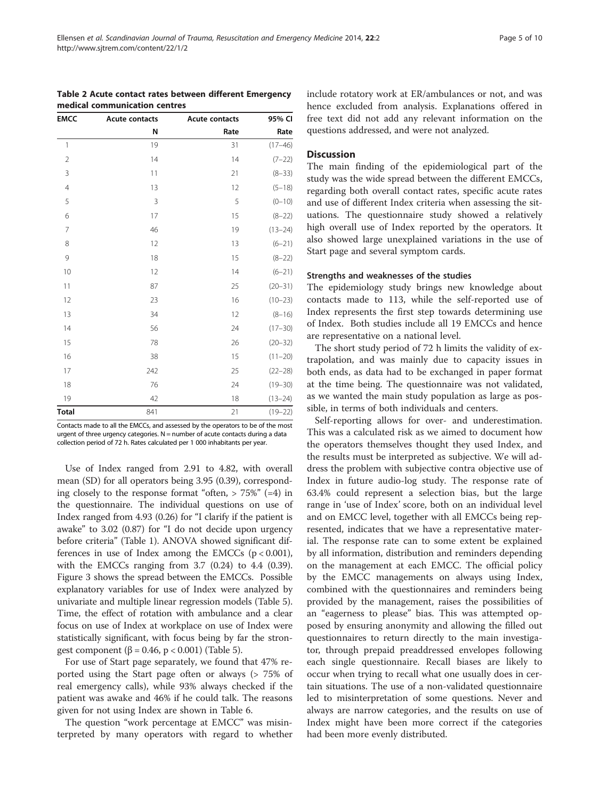<span id="page-4-0"></span>

| Table 2 Acute contact rates between different Emergency |  |
|---------------------------------------------------------|--|
| medical communication centres                           |  |

| <b>EMCC</b>    | <b>Acute contacts</b> | <b>Acute contacts</b> | 95% CI      |
|----------------|-----------------------|-----------------------|-------------|
|                | N                     | Rate                  | Rate        |
| $\mathbf{1}$   | 19                    | 31                    | $(17 - 46)$ |
| $\overline{2}$ | 14                    | 14                    | $(7-22)$    |
| 3              | 11                    | 21                    | $(8-33)$    |
| $\overline{4}$ | 13                    | 12                    | $(5-18)$    |
| 5              | 3                     | 5                     | $(0 - 10)$  |
| 6              | 17                    | 15                    | $(8-22)$    |
| $\overline{7}$ | 46                    | 19                    | $(13 - 24)$ |
| 8              | 12                    | 13                    | $(6 - 21)$  |
| 9              | 18                    | 15                    | $(8-22)$    |
| 10             | 12                    | 14                    | $(6 - 21)$  |
| 11             | 87                    | 25                    | $(20 - 31)$ |
| 12             | 23                    | 16                    | $(10 - 23)$ |
| 13             | 34                    | 12                    | $(8 - 16)$  |
| 14             | 56                    | 24                    | $(17 - 30)$ |
| 15             | 78                    | 26                    | $(20 - 32)$ |
| 16             | 38                    | 15                    | $(11 - 20)$ |
| 17             | 242                   | 25                    | $(22 - 28)$ |
| 18             | 76                    | 24                    | $(19 - 30)$ |
| 19             | 42                    | 18                    | $(13 - 24)$ |
| <b>Total</b>   | 841                   | 21                    | $(19 - 22)$ |

Contacts made to all the EMCCs, and assessed by the operators to be of the most urgent of three urgency categories.  $N =$  number of acute contacts during a data collection period of 72 h. Rates calculated per 1 000 inhabitants per year.

Use of Index ranged from 2.91 to 4.82, with overall mean (SD) for all operators being 3.95 (0.39), corresponding closely to the response format "often,  $> 75\%$ " (=4) in the questionnaire. The individual questions on use of Index ranged from 4.93 (0.26) for "I clarify if the patient is awake" to 3.02 (0.87) for "I do not decide upon urgency before criteria" (Table [1\)](#page-3-0). ANOVA showed significant differences in use of Index among the EMCCs  $(p < 0.001)$ , with the EMCCs ranging from 3.7 (0.24) to 4.4 (0.39). Figure [3](#page-7-0) shows the spread between the EMCCs. Possible explanatory variables for use of Index were analyzed by univariate and multiple linear regression models (Table [5](#page-7-0)). Time, the effect of rotation with ambulance and a clear focus on use of Index at workplace on use of Index were statistically significant, with focus being by far the stron-gest component (β = 0.46, p < 0.001) (Table [5\)](#page-7-0).

For use of Start page separately, we found that 47% reported using the Start page often or always (> 75% of real emergency calls), while 93% always checked if the patient was awake and 46% if he could talk. The reasons given for not using Index are shown in Table [6.](#page-8-0)

The question "work percentage at EMCC" was misinterpreted by many operators with regard to whether include rotatory work at ER/ambulances or not, and was hence excluded from analysis. Explanations offered in free text did not add any relevant information on the questions addressed, and were not analyzed.

## **Discussion**

The main finding of the epidemiological part of the study was the wide spread between the different EMCCs, regarding both overall contact rates, specific acute rates and use of different Index criteria when assessing the situations. The questionnaire study showed a relatively high overall use of Index reported by the operators. It also showed large unexplained variations in the use of Start page and several symptom cards.

#### Strengths and weaknesses of the studies

The epidemiology study brings new knowledge about contacts made to 113, while the self-reported use of Index represents the first step towards determining use of Index. Both studies include all 19 EMCCs and hence are representative on a national level.

The short study period of 72 h limits the validity of extrapolation, and was mainly due to capacity issues in both ends, as data had to be exchanged in paper format at the time being. The questionnaire was not validated, as we wanted the main study population as large as possible, in terms of both individuals and centers.

Self-reporting allows for over- and underestimation. This was a calculated risk as we aimed to document how the operators themselves thought they used Index, and the results must be interpreted as subjective. We will address the problem with subjective contra objective use of Index in future audio-log study. The response rate of 63.4% could represent a selection bias, but the large range in 'use of Index' score, both on an individual level and on EMCC level, together with all EMCCs being represented, indicates that we have a representative material. The response rate can to some extent be explained by all information, distribution and reminders depending on the management at each EMCC. The official policy by the EMCC managements on always using Index, combined with the questionnaires and reminders being provided by the management, raises the possibilities of an "eagerness to please" bias. This was attempted opposed by ensuring anonymity and allowing the filled out questionnaires to return directly to the main investigator, through prepaid preaddressed envelopes following each single questionnaire. Recall biases are likely to occur when trying to recall what one usually does in certain situations. The use of a non-validated questionnaire led to misinterpretation of some questions. Never and always are narrow categories, and the results on use of Index might have been more correct if the categories had been more evenly distributed.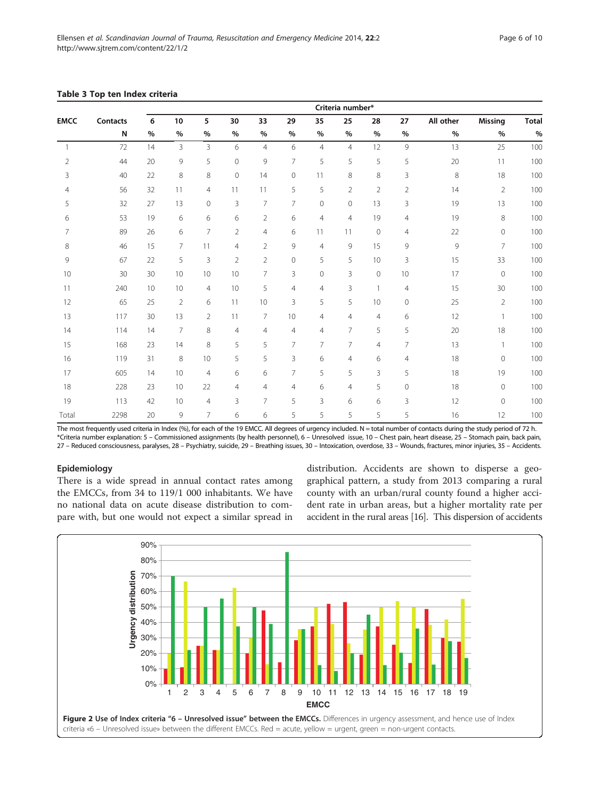|                | Criteria number* |    |                |                 |                |                |                     |                |                |                |                |           |                |              |
|----------------|------------------|----|----------------|-----------------|----------------|----------------|---------------------|----------------|----------------|----------------|----------------|-----------|----------------|--------------|
| <b>EMCC</b>    | <b>Contacts</b>  | 6  | 10             | 5               | 30             | 33             | 29                  | 35             | 25             | 28             | 27             | All other | <b>Missing</b> | <b>Total</b> |
|                | N                | %  | $\%$           | $\%$            | $\%$           | $\frac{0}{0}$  | %                   | %              | $\%$           | $\%$           | %              | %         | %              | $\%$         |
| $\mathbf{1}$   | 72               | 14 | $\overline{3}$ | $\overline{3}$  | 6              | $\overline{4}$ | 6                   | $\overline{4}$ | $\overline{4}$ | 12             | 9              | 13        | 25             | 100          |
| $\overline{2}$ | 44               | 20 | 9              | 5               | $\overline{0}$ | 9              | $\overline{7}$      | 5              | 5              | 5              | 5              | 20        | 11             | 100          |
| 3              | 40               | 22 | 8              | 8               | $\circ$        | 14             | $\mathsf{O}\xspace$ | 11             | 8              | 8              | 3              | $\,8\,$   | 18             | 100          |
| $\overline{4}$ | 56               | 32 | 11             | $\overline{4}$  | 11             | 11             | 5                   | 5              | $\overline{2}$ | $\overline{2}$ | $\overline{2}$ | 14        | $\overline{2}$ | 100          |
| 5              | 32               | 27 | 13             | $\mathbf{0}$    | 3              | $\overline{7}$ | $\overline{7}$      | $\mathbf 0$    | $\circ$        | 13             | 3              | 19        | 13             | 100          |
| 6              | 53               | 19 | 6              | 6               | 6              | $\overline{2}$ | 6                   | 4              | $\overline{4}$ | 19             | $\overline{4}$ | 19        | $\,8\,$        | 100          |
| $\overline{7}$ | 89               | 26 | 6              | $\overline{7}$  | $\overline{2}$ | $\overline{4}$ | 6                   | 11             | 11             | $\overline{0}$ | $\overline{4}$ | 22        | $\mathbf 0$    | 100          |
| 8              | 46               | 15 | 7              | 11              | $\overline{4}$ | $\overline{2}$ | 9                   | $\overline{4}$ | 9              | 15             | 9              | 9         | $\overline{7}$ | 100          |
| 9              | 67               | 22 | 5              | 3               | $\overline{2}$ | $\overline{2}$ | $\overline{0}$      | 5              | 5              | 10             | 3              | 15        | 33             | 100          |
| 10             | 30               | 30 | 10             | 10 <sup>°</sup> | 10             | $\overline{7}$ | 3                   | $\mathbf 0$    | $\overline{3}$ | $\overline{0}$ | 10             | 17        | $\mathbf 0$    | 100          |
| 11             | 240              | 10 | 10             | $\overline{4}$  | 10             | 5              | $\overline{4}$      | $\overline{4}$ | 3              | $\mathbf{1}$   | $\overline{4}$ | 15        | 30             | 100          |
| 12             | 65               | 25 | $\overline{2}$ | 6               | 11             | 10             | 3                   | 5              | 5              | 10             | $\mathbf{0}$   | 25        | $\overline{2}$ | 100          |
| 13             | 117              | 30 | 13             | 2               | 11             | $\overline{7}$ | 10                  | $\overline{4}$ | $\overline{4}$ | $\overline{4}$ | 6              | 12        | $\mathbf{1}$   | 100          |
| 14             | 114              | 14 | $\overline{7}$ | 8               | $\overline{4}$ | $\overline{4}$ | $\overline{4}$      | 4              | $\overline{7}$ | 5              | 5              | 20        | 18             | 100          |
| 15             | 168              | 23 | 14             | 8               | 5              | 5              | $\overline{7}$      | 7              | 7              | $\overline{4}$ | 7              | 13        | $\mathbf{1}$   | 100          |
| 16             | 119              | 31 | 8              | 10              | 5              | 5              | 3                   | 6              | $\overline{4}$ | 6              | $\overline{4}$ | 18        | $\mathbf 0$    | 100          |
| 17             | 605              | 14 | 10             | $\overline{4}$  | 6              | 6              | $\overline{7}$      | 5              | 5              | $\overline{3}$ | 5              | 18        | 19             | 100          |
| 18             | 228              | 23 | 10             | 22              | $\overline{4}$ | $\overline{4}$ | $\overline{4}$      | 6              | $\overline{4}$ | 5              | $\mathbf{0}$   | 18        | $\mathbf 0$    | 100          |
| 19             | 113              | 42 | 10             | $\overline{4}$  | 3              | $\overline{7}$ | 5                   | 3              | 6              | 6              | 3              | 12        | $\mathbf 0$    | 100          |
| Total          | 2298             | 20 | 9              | $\overline{7}$  | 6              | 6              | 5                   | 5              | 5              | 5              | 5              | 16        | 12             | 100          |

#### <span id="page-5-0"></span>Table 3 Top ten Index criteria

The most frequently used criteria in Index (%), for each of the 19 EMCC. All degrees of urgency included. N = total number of contacts during the study period of 72 h. \*Criteria number explanation: 5 – Commissioned assignments (by health personnel), 6 – Unresolved issue, 10 – Chest pain, heart disease, 25 – Stomach pain, back pain, 27 – Reduced consciousness, paralyses, 28 – Psychiatry, suicide, 29 – Breathing issues, 30 – Intoxication, overdose, 33 – Wounds, fractures, minor injuries, 35 – Accidents.

## Epidemiology

There is a wide spread in annual contact rates among the EMCCs, from 34 to 119/1 000 inhabitants. We have no national data on acute disease distribution to compare with, but one would not expect a similar spread in distribution. Accidents are shown to disperse a geographical pattern, a study from 2013 comparing a rural county with an urban/rural county found a higher accident rate in urban areas, but a higher mortality rate per accident in the rural areas [\[16](#page-9-0)]. This dispersion of accidents

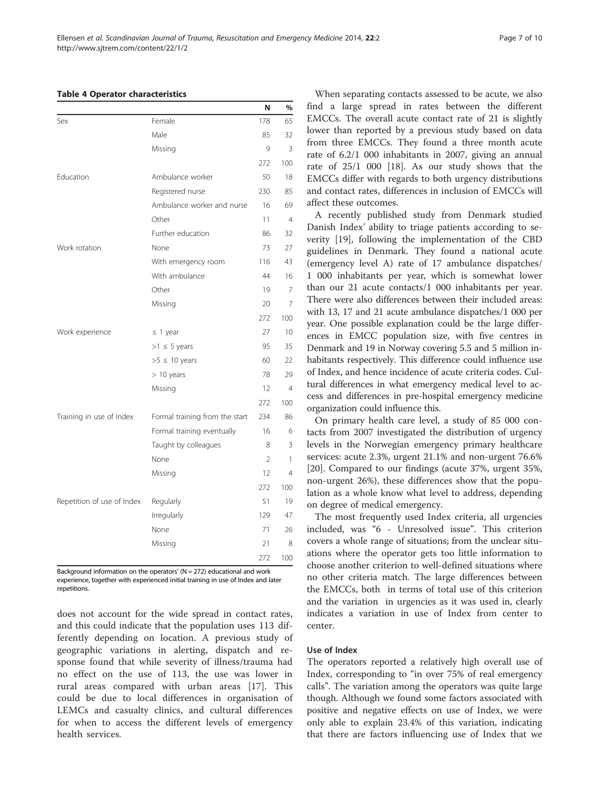#### <span id="page-6-0"></span>Table 4 Operator characteristics

|                            |                                | N              | %              |
|----------------------------|--------------------------------|----------------|----------------|
| Sex                        | Female                         | 178            | 65             |
|                            | Male                           | 85             | 32             |
|                            | Missing                        | 9              | 3              |
|                            |                                | 272            | 100            |
| Education                  | Ambulance worker               | 50             | 18             |
|                            | Registered nurse               | 230            | 85             |
|                            | Ambulance worker and nurse     | 16             | 69             |
|                            | Other                          | 11             | $\overline{4}$ |
|                            | Further education              | 86             | 32             |
| Work rotation              | None                           | 73             | 27             |
|                            | With emergency room            | 116            | 43             |
|                            | With ambulance                 | 44             | 16             |
|                            | Other                          | 19             | 7              |
|                            | Missing                        | 20             | 7              |
|                            |                                | 272            | 100            |
| Work experience            | $\leq$ 1 year                  | 27             | 10             |
|                            | $>1 \leq 5$ years              | 95             | 35             |
|                            | $>5 \leq 10$ years             | 60             | 22             |
|                            | $> 10$ years                   | 78             | 29             |
|                            | Missing                        | 12             | $\overline{4}$ |
|                            |                                | 272            | 100            |
| Training in use of Index   | Formal training from the start | 234            | 86             |
|                            | Formal training eventually     | 16             | 6              |
|                            | Taught by colleagues           | 8              | 3              |
|                            | None                           | $\mathfrak{D}$ | 1              |
|                            | Missing                        | 12             | $\overline{4}$ |
|                            |                                | 272            | 100            |
| Repetition of use of Index | Regularly                      | 51             | 19             |
|                            | Irregularly                    | 129            | 47             |
|                            | None                           | 71             | 26             |
|                            | Missing                        | 21             | 8              |
|                            |                                | 272            | 100            |

Background information on the operators'  $(N = 272)$  educational and work experience, together with experienced initial training in use of Index and later repetitions.

does not account for the wide spread in contact rates, and this could indicate that the population uses 113 differently depending on location. A previous study of geographic variations in alerting, dispatch and response found that while severity of illness/trauma had no effect on the use of 113, the use was lower in rural areas compared with urban areas [[17](#page-9-0)]. This could be due to local differences in organisation of LEMCs and casualty clinics, and cultural differences for when to access the different levels of emergency health services.

When separating contacts assessed to be acute, we also find a large spread in rates between the different EMCCs. The overall acute contact rate of 21 is slightly lower than reported by a previous study based on data from three EMCCs. They found a three month acute rate of 6.2/1 000 inhabitants in 2007, giving an annual rate of 25/1 000 [[18\]](#page-9-0). As our study shows that the EMCCs differ with regards to both urgency distributions and contact rates, differences in inclusion of EMCCs will affect these outcomes.

A recently published study from Denmark studied Danish Index' ability to triage patients according to severity [[19\]](#page-9-0), following the implementation of the CBD guidelines in Denmark. They found a national acute (emergency level A) rate of 17 ambulance dispatches/ 1 000 inhabitants per year, which is somewhat lower than our 21 acute contacts/1 000 inhabitants per year. There were also differences between their included areas: with 13, 17 and 21 acute ambulance dispatches/1 000 per year. One possible explanation could be the large differences in EMCC population size, with five centres in Denmark and 19 in Norway covering 5.5 and 5 million inhabitants respectively. This difference could influence use of Index, and hence incidence of acute criteria codes. Cultural differences in what emergency medical level to access and differences in pre-hospital emergency medicine organization could influence this.

On primary health care level, a study of 85 000 contacts from 2007 investigated the distribution of urgency levels in the Norwegian emergency primary healthcare services: acute 2.3%, urgent 21.1% and non-urgent 76.6% [[20\]](#page-9-0). Compared to our findings (acute 37%, urgent 35%, non-urgent 26%), these differences show that the population as a whole know what level to address, depending on degree of medical emergency.

The most frequently used Index criteria, all urgencies included, was "6 - Unresolved issue". This criterion covers a whole range of situations; from the unclear situations where the operator gets too little information to choose another criterion to well-defined situations where no other criteria match. The large differences between the EMCCs, both in terms of total use of this criterion and the variation in urgencies as it was used in, clearly indicates a variation in use of Index from center to center.

## Use of Index

The operators reported a relatively high overall use of Index, corresponding to "in over 75% of real emergency calls". The variation among the operators was quite large though. Although we found some factors associated with positive and negative effects on use of Index, we were only able to explain 23.4% of this variation, indicating that there are factors influencing use of Index that we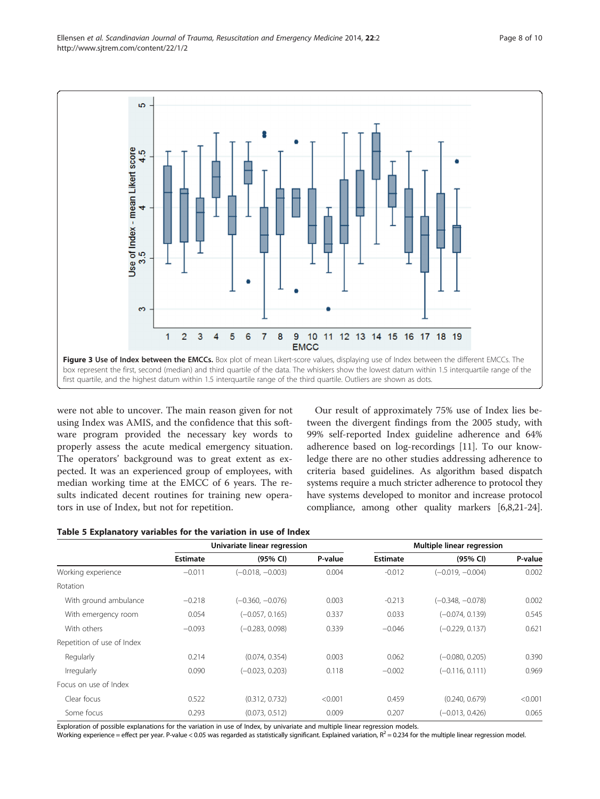<span id="page-7-0"></span>

were not able to uncover. The main reason given for not using Index was AMIS, and the confidence that this software program provided the necessary key words to properly assess the acute medical emergency situation. The operators' background was to great extent as expected. It was an experienced group of employees, with median working time at the EMCC of 6 years. The results indicated decent routines for training new operators in use of Index, but not for repetition.

Our result of approximately 75% use of Index lies between the divergent findings from the 2005 study, with 99% self-reported Index guideline adherence and 64% adherence based on log-recordings [\[11\]](#page-9-0). To our knowledge there are no other studies addressing adherence to criteria based guidelines. As algorithm based dispatch systems require a much stricter adherence to protocol they have systems developed to monitor and increase protocol compliance, among other quality markers [\[6,8,21](#page-9-0)-[24](#page-9-0)].

|                            |                 | Univariate linear regression |         | Multiple linear regression |                    |         |  |
|----------------------------|-----------------|------------------------------|---------|----------------------------|--------------------|---------|--|
|                            | <b>Estimate</b> | (95% CI)                     | P-value | <b>Estimate</b>            | (95% CI)           | P-value |  |
| Working experience         | $-0.011$        | $(-0.018, -0.003)$           | 0.004   | $-0.012$                   | $(-0.019, -0.004)$ | 0.002   |  |
| Rotation                   |                 |                              |         |                            |                    |         |  |
| With ground ambulance      | $-0.218$        | $(-0.360, -0.076)$           | 0.003   | $-0.213$                   | $(-0.348, -0.078)$ | 0.002   |  |
| With emergency room        | 0.054           | $(-0.057, 0.165)$            | 0.337   | 0.033                      | $(-0.074, 0.139)$  | 0.545   |  |
| With others                | $-0.093$        | $(-0.283, 0.098)$            | 0.339   | $-0.046$                   | $(-0.229, 0.137)$  | 0.621   |  |
| Repetition of use of Index |                 |                              |         |                            |                    |         |  |
| Regularly                  | 0.214           | (0.074, 0.354)               | 0.003   | 0.062                      | $(-0.080, 0.205)$  | 0.390   |  |
| Irregularly                | 0.090           | $(-0.023, 0.203)$            | 0.118   | $-0.002$                   | $(-0.116, 0.111)$  | 0.969   |  |
| Focus on use of Index      |                 |                              |         |                            |                    |         |  |
| Clear focus                | 0.522           | (0.312, 0.732)               | < 0.001 | 0.459                      | (0.240, 0.679)     | < 0.001 |  |
| Some focus                 | 0.293           | (0.073, 0.512)               | 0.009   | 0.207                      | $(-0.013, 0.426)$  | 0.065   |  |

Exploration of possible explanations for the variation in use of Index, by univariate and multiple linear regression models.

Working experience = effect per year. P-value < 0.05 was regarded as statistically significant. Explained variation,  $R^2$  = 0.234 for the multiple linear regression model.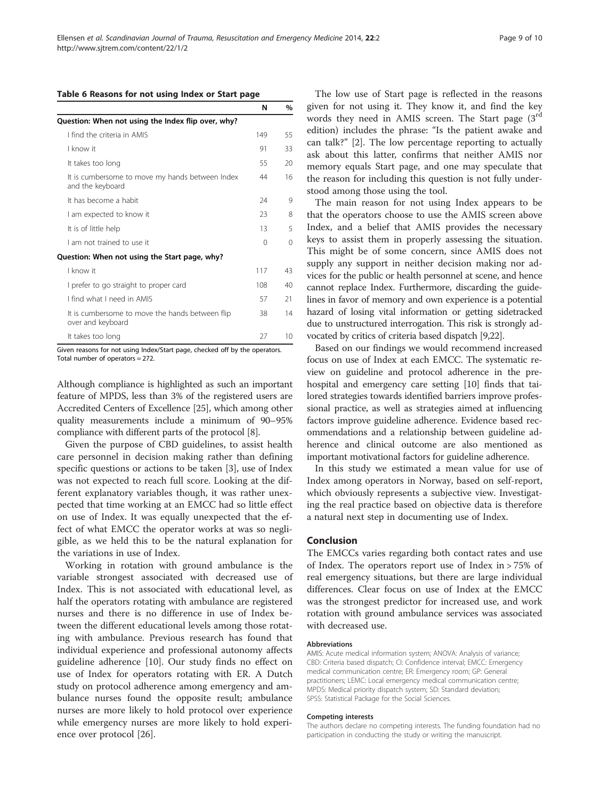#### <span id="page-8-0"></span>Table 6 Reasons for not using Index or Start page

|                                                                      | N   | $\%$ |
|----------------------------------------------------------------------|-----|------|
| Question: When not using the Index flip over, why?                   |     |      |
| I find the criteria in AMIS                                          | 149 | 55   |
| I know it                                                            | 91  | 33   |
| It takes too long                                                    | 55  | 20   |
| It is cumbersome to move my hands between Index<br>and the keyboard  | 44  | 16   |
| It has become a habit                                                | 24  | 9    |
| I am expected to know it                                             | 23  | 8    |
| It is of little help                                                 | 13  | 5    |
| Lam not trained to use it                                            | 0   | 0    |
| Question: When not using the Start page, why?                        |     |      |
| I know it                                                            | 117 | 43   |
| I prefer to go straight to proper card                               | 108 | 40   |
| I find what I need in AMIS                                           | 57  | 21   |
| It is cumbersome to move the hands between flip<br>over and keyboard | 38  | 14   |

Given reasons for not using Index/Start page, checked off by the operators. Total number of operators = 272.

It takes too long 27 10

Although compliance is highlighted as such an important feature of MPDS, less than 3% of the registered users are Accredited Centers of Excellence [[25](#page-9-0)], which among other quality measurements include a minimum of 90–95% compliance with different parts of the protocol [\[8](#page-9-0)].

Given the purpose of CBD guidelines, to assist health care personnel in decision making rather than defining specific questions or actions to be taken [[3\]](#page-9-0), use of Index was not expected to reach full score. Looking at the different explanatory variables though, it was rather unexpected that time working at an EMCC had so little effect on use of Index. It was equally unexpected that the effect of what EMCC the operator works at was so negligible, as we held this to be the natural explanation for the variations in use of Index.

Working in rotation with ground ambulance is the variable strongest associated with decreased use of Index. This is not associated with educational level, as half the operators rotating with ambulance are registered nurses and there is no difference in use of Index between the different educational levels among those rotating with ambulance. Previous research has found that individual experience and professional autonomy affects guideline adherence [\[10](#page-9-0)]. Our study finds no effect on use of Index for operators rotating with ER. A Dutch study on protocol adherence among emergency and ambulance nurses found the opposite result; ambulance nurses are more likely to hold protocol over experience while emergency nurses are more likely to hold experience over protocol [\[26](#page-9-0)].

The low use of Start page is reflected in the reasons given for not using it. They know it, and find the key words they need in AMIS screen. The Start page (3<sup>rd</sup> edition) includes the phrase: "Is the patient awake and can talk?" [\[2](#page-9-0)]. The low percentage reporting to actually ask about this latter, confirms that neither AMIS nor memory equals Start page, and one may speculate that the reason for including this question is not fully understood among those using the tool.

The main reason for not using Index appears to be that the operators choose to use the AMIS screen above Index, and a belief that AMIS provides the necessary keys to assist them in properly assessing the situation. This might be of some concern, since AMIS does not supply any support in neither decision making nor advices for the public or health personnel at scene, and hence cannot replace Index. Furthermore, discarding the guidelines in favor of memory and own experience is a potential hazard of losing vital information or getting sidetracked due to unstructured interrogation. This risk is strongly advocated by critics of criteria based dispatch [[9,22\]](#page-9-0).

Based on our findings we would recommend increased focus on use of Index at each EMCC. The systematic review on guideline and protocol adherence in the prehospital and emergency care setting [\[10](#page-9-0)] finds that tailored strategies towards identified barriers improve professional practice, as well as strategies aimed at influencing factors improve guideline adherence. Evidence based recommendations and a relationship between guideline adherence and clinical outcome are also mentioned as important motivational factors for guideline adherence.

In this study we estimated a mean value for use of Index among operators in Norway, based on self-report, which obviously represents a subjective view. Investigating the real practice based on objective data is therefore a natural next step in documenting use of Index.

#### Conclusion

The EMCCs varies regarding both contact rates and use of Index. The operators report use of Index in > 75% of real emergency situations, but there are large individual differences. Clear focus on use of Index at the EMCC was the strongest predictor for increased use, and work rotation with ground ambulance services was associated with decreased use.

#### Abbreviations

AMIS: Acute medical information system; ANOVA: Analysis of variance; CBD: Criteria based dispatch; CI: Confidence interval; EMCC: Emergency medical communication centre; ER: Emergency room; GP: General practitioners; LEMC: Local emergency medical communication centre; MPDS: Medical priority dispatch system; SD: Standard deviation; SPSS: Statistical Package for the Social Sciences.

#### Competing interests

The authors declare no competing interests. The funding foundation had no participation in conducting the study or writing the manuscript.